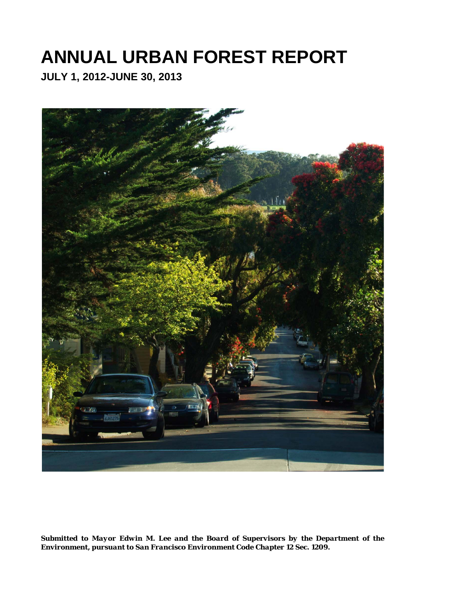# **ANNUAL URBAN FOREST REPORT**

**JULY 1, 2012-JUNE 30, 2013** 

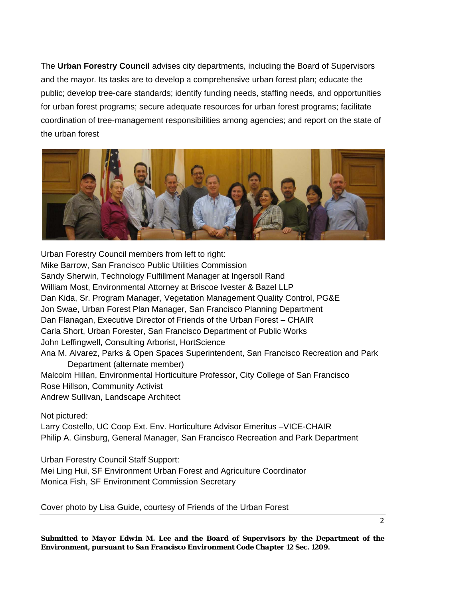The **Urban Forestry Council** advises city departments, including the Board of Supervisors and the mayor. Its tasks are to develop a comprehensive urban forest plan; educate the public; develop tree-care standards; identify funding needs, staffing needs, and opportunities for urban forest programs; secure adequate resources for urban forest programs; facilitate coordination of tree-management responsibilities among agencies; and report on the state of the urban forest



Urban Forestry Council members from left to right: Mike Barrow, San Francisco Public Utilities Commission Sandy Sherwin, Technology Fulfillment Manager at Ingersoll Rand William Most, Environmental Attorney at Briscoe Ivester & Bazel LLP Dan Kida, Sr. Program Manager, Vegetation Management Quality Control, PG&E Jon Swae, Urban Forest Plan Manager, San Francisco Planning Department Dan Flanagan, Executive Director of Friends of the Urban Forest – CHAIR Carla Short, Urban Forester, San Francisco Department of Public Works John Leffingwell, Consulting Arborist, HortScience Ana M. Alvarez, Parks & Open Spaces Superintendent, San Francisco Recreation and Park Department (alternate member) Malcolm Hillan, Environmental Horticulture Professor, City College of San Francisco Rose Hillson, Community Activist Andrew Sullivan, Landscape Architect

Not pictured:

Larry Costello, UC Coop Ext. Env. Horticulture Advisor Emeritus –VICE-CHAIR Philip A. Ginsburg, General Manager, San Francisco Recreation and Park Department

Urban Forestry Council Staff Support: Mei Ling Hui, SF Environment Urban Forest and Agriculture Coordinator Monica Fish, SF Environment Commission Secretary

Cover photo by Lisa Guide, courtesy of Friends of the Urban Forest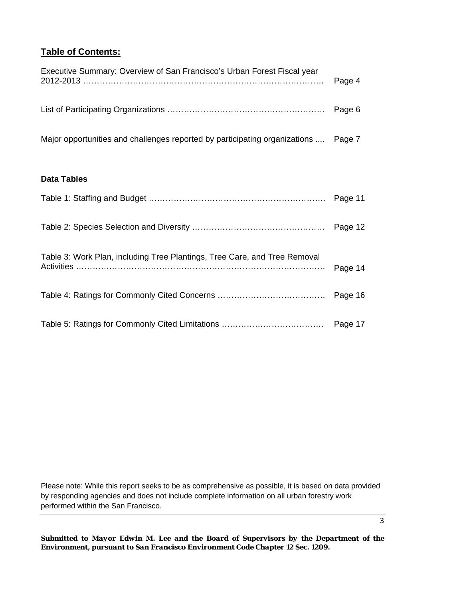# **Table of Contents:**

| Executive Summary: Overview of San Francisco's Urban Forest Fiscal year            | Page 4  |
|------------------------------------------------------------------------------------|---------|
|                                                                                    |         |
| Major opportunities and challenges reported by participating organizations  Page 7 |         |
|                                                                                    |         |
| <b>Data Tables</b>                                                                 |         |
|                                                                                    |         |
|                                                                                    |         |
| Table 3: Work Plan, including Tree Plantings, Tree Care, and Tree Removal          |         |
|                                                                                    |         |
|                                                                                    |         |
|                                                                                    | Page 17 |

Please note: While this report seeks to be as comprehensive as possible, it is based on data provided by responding agencies and does not include complete information on all urban forestry work performed within the San Francisco.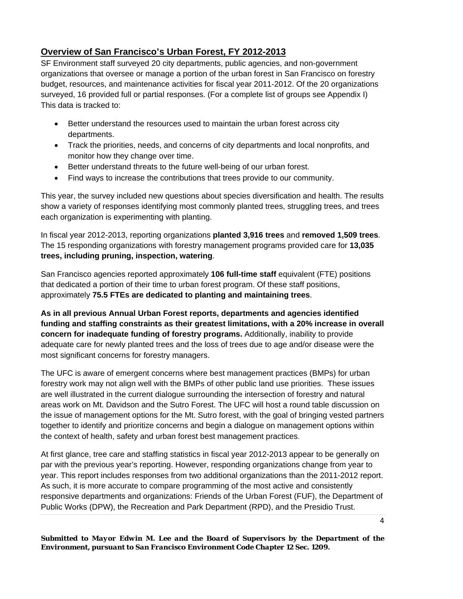# **Overview of San Francisco's Urban Forest, FY 2012-2013**

SF Environment staff surveyed 20 city departments, public agencies, and non-government organizations that oversee or manage a portion of the urban forest in San Francisco on forestry budget, resources, and maintenance activities for fiscal year 2011-2012. Of the 20 organizations surveyed, 16 provided full or partial responses. (For a complete list of groups see Appendix I) This data is tracked to:

- Better understand the resources used to maintain the urban forest across city departments.
- Track the priorities, needs, and concerns of city departments and local nonprofits, and monitor how they change over time.
- Better understand threats to the future well-being of our urban forest.
- Find ways to increase the contributions that trees provide to our community.

This year, the survey included new questions about species diversification and health. The results show a variety of responses identifying most commonly planted trees, struggling trees, and trees each organization is experimenting with planting.

In fiscal year 2012-2013, reporting organizations **planted 3,916 trees** and **removed 1,509 trees**. The 15 responding organizations with forestry management programs provided care for **13,035 trees, including pruning, inspection, watering**.

San Francisco agencies reported approximately **106 full-time staff** equivalent (FTE) positions that dedicated a portion of their time to urban forest program. Of these staff positions, approximately **75.5 FTEs are dedicated to planting and maintaining trees**.

**As in all previous Annual Urban Forest reports, departments and agencies identified funding and staffing constraints as their greatest limitations, with a 20% increase in overall concern for inadequate funding of forestry programs.** Additionally, inability to provide adequate care for newly planted trees and the loss of trees due to age and/or disease were the most significant concerns for forestry managers.

The UFC is aware of emergent concerns where best management practices (BMPs) for urban forestry work may not align well with the BMPs of other public land use priorities. These issues are well illustrated in the current dialogue surrounding the intersection of forestry and natural areas work on Mt. Davidson and the Sutro Forest. The UFC will host a round table discussion on the issue of management options for the Mt. Sutro forest, with the goal of bringing vested partners together to identify and prioritize concerns and begin a dialogue on management options within the context of health, safety and urban forest best management practices.

At first glance, tree care and staffing statistics in fiscal year 2012-2013 appear to be generally on par with the previous year's reporting. However, responding organizations change from year to year. This report includes responses from two additional organizations than the 2011-2012 report. As such, it is more accurate to compare programming of the most active and consistently responsive departments and organizations: Friends of the Urban Forest (FUF), the Department of Public Works (DPW), the Recreation and Park Department (RPD), and the Presidio Trust.

*Submitted to Mayor Edwin M. Lee and the Board of Supervisors by the Department of the Environment, pursuant to San Francisco Environment Code Chapter 12 Sec. 1209.* 

4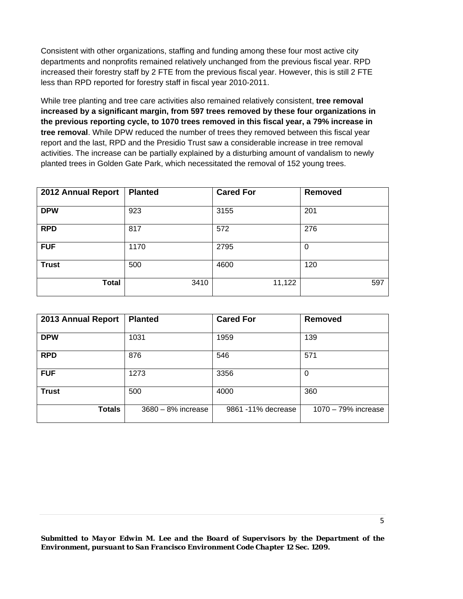Consistent with other organizations, staffing and funding among these four most active city departments and nonprofits remained relatively unchanged from the previous fiscal year. RPD increased their forestry staff by 2 FTE from the previous fiscal year. However, this is still 2 FTE less than RPD reported for forestry staff in fiscal year 2010-2011.

While tree planting and tree care activities also remained relatively consistent, **tree removal increased by a significant margin, from 597 trees removed by these four organizations in the previous reporting cycle, to 1070 trees removed in this fiscal year, a 79% increase in tree removal**. While DPW reduced the number of trees they removed between this fiscal year report and the last, RPD and the Presidio Trust saw a considerable increase in tree removal activities. The increase can be partially explained by a disturbing amount of vandalism to newly planted trees in Golden Gate Park, which necessitated the removal of 152 young trees.

| 2012 Annual Report | <b>Planted</b> | <b>Cared For</b> | Removed |
|--------------------|----------------|------------------|---------|
| <b>DPW</b>         | 923            | 3155             | 201     |
| <b>RPD</b>         | 817            | 572              | 276     |
| <b>FUF</b>         | 1170           | 2795             | 0       |
| <b>Trust</b>       | 500            | 4600             | 120     |
| <b>Total</b>       | 3410           | 11,122           | 597     |

| 2013 Annual Report | <b>Planted</b>       | <b>Cared For</b>   | <b>Removed</b>         |
|--------------------|----------------------|--------------------|------------------------|
| <b>DPW</b>         | 1031                 | 1959               | 139                    |
| <b>RPD</b>         | 876                  | 546                | 571                    |
| <b>FUF</b>         | 1273                 | 3356               | 0                      |
| <b>Trust</b>       | 500                  | 4000               | 360                    |
| <b>Totals</b>      | $3680 - 8%$ increase | 9861 -11% decrease | $1070 - 79\%$ increase |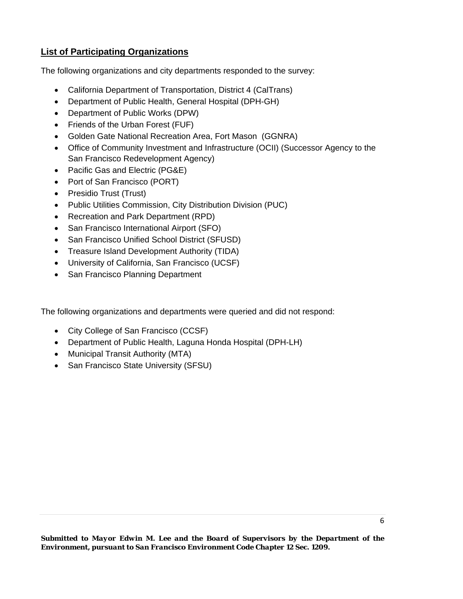## **List of Participating Organizations**

The following organizations and city departments responded to the survey:

- California Department of Transportation, District 4 (CalTrans)
- Department of Public Health, General Hospital (DPH-GH)
- Department of Public Works (DPW)
- Friends of the Urban Forest (FUF)
- Golden Gate National Recreation Area, Fort Mason (GGNRA)
- Office of Community Investment and Infrastructure (OCII) (Successor Agency to the San Francisco Redevelopment Agency)
- Pacific Gas and Electric (PG&E)
- Port of San Francisco (PORT)
- Presidio Trust (Trust)
- Public Utilities Commission, City Distribution Division (PUC)
- Recreation and Park Department (RPD)
- San Francisco International Airport (SFO)
- San Francisco Unified School District (SFUSD)
- Treasure Island Development Authority (TIDA)
- University of California, San Francisco (UCSF)
- San Francisco Planning Department

The following organizations and departments were queried and did not respond:

- City College of San Francisco (CCSF)
- Department of Public Health, Laguna Honda Hospital (DPH-LH)
- Municipal Transit Authority (MTA)
- San Francisco State University (SFSU)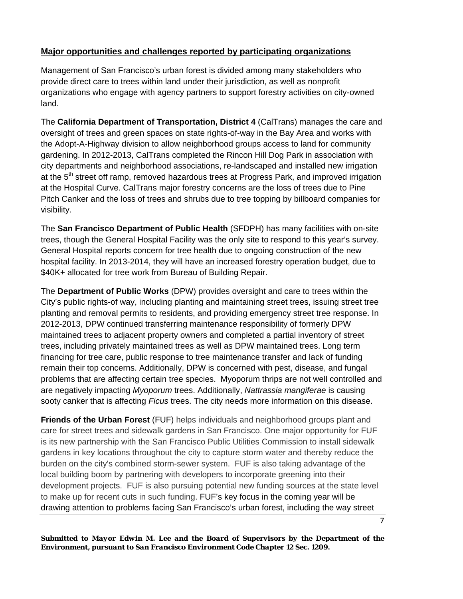#### **Major opportunities and challenges reported by participating organizations**

Management of San Francisco's urban forest is divided among many stakeholders who provide direct care to trees within land under their jurisdiction, as well as nonprofit organizations who engage with agency partners to support forestry activities on city-owned land.

The **California Department of Transportation, District 4** (CalTrans) manages the care and oversight of trees and green spaces on state rights-of-way in the Bay Area and works with the Adopt-A-Highway division to allow neighborhood groups access to land for community gardening. In 2012-2013, CalTrans completed the Rincon Hill Dog Park in association with city departments and neighborhood associations, re-landscaped and installed new irrigation at the  $5<sup>th</sup>$  street off ramp, removed hazardous trees at Progress Park, and improved irrigation at the Hospital Curve. CalTrans major forestry concerns are the loss of trees due to Pine Pitch Canker and the loss of trees and shrubs due to tree topping by billboard companies for visibility.

The **San Francisco Department of Public Health** (SFDPH) has many facilities with on-site trees, though the General Hospital Facility was the only site to respond to this year's survey. General Hospital reports concern for tree health due to ongoing construction of the new hospital facility. In 2013-2014, they will have an increased forestry operation budget, due to \$40K+ allocated for tree work from Bureau of Building Repair.

The **Department of Public Works** (DPW) provides oversight and care to trees within the City's public rights-of way, including planting and maintaining street trees, issuing street tree planting and removal permits to residents, and providing emergency street tree response. In 2012-2013, DPW continued transferring maintenance responsibility of formerly DPW maintained trees to adjacent property owners and completed a partial inventory of street trees, including privately maintained trees as well as DPW maintained trees. Long term financing for tree care, public response to tree maintenance transfer and lack of funding remain their top concerns. Additionally, DPW is concerned with pest, disease, and fungal problems that are affecting certain tree species. Myoporum thrips are not well controlled and are negatively impacting *Myoporum* trees. Additionally, *Nattrassia mangiferae* is causing sooty canker that is affecting *Ficus* trees. The city needs more information on this disease.

**Friends of the Urban Forest** (FUF) helps individuals and neighborhood groups plant and care for street trees and sidewalk gardens in San Francisco. One major opportunity for FUF is its new partnership with the San Francisco Public Utilities Commission to install sidewalk gardens in key locations throughout the city to capture storm water and thereby reduce the burden on the city's combined storm-sewer system. FUF is also taking advantage of the local building boom by partnering with developers to incorporate greening into their development projects. FUF is also pursuing potential new funding sources at the state level to make up for recent cuts in such funding. FUF's key focus in the coming year will be drawing attention to problems facing San Francisco's urban forest, including the way street

*Submitted to Mayor Edwin M. Lee and the Board of Supervisors by the Department of the Environment, pursuant to San Francisco Environment Code Chapter 12 Sec. 1209.* 

7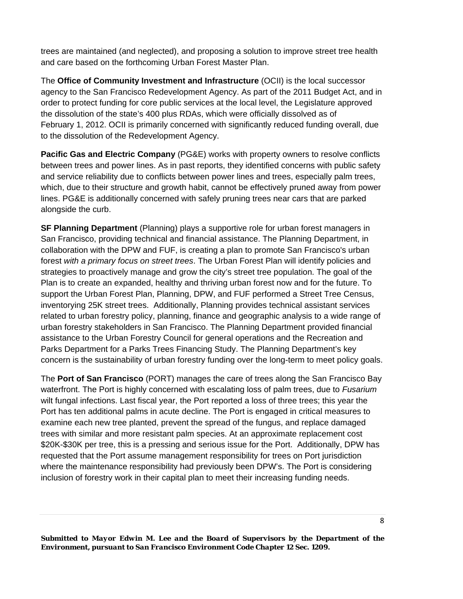trees are maintained (and neglected), and proposing a solution to improve street tree health and care based on the forthcoming Urban Forest Master Plan.

The **Office of Community Investment and Infrastructure** (OCII) is the local successor agency to the San Francisco Redevelopment Agency. As part of the 2011 Budget Act, and in order to protect funding for core public services at the local level, the Legislature approved the dissolution of the state's 400 plus RDAs, which were officially dissolved as of February 1, 2012. OCII is primarily concerned with significantly reduced funding overall, due to the dissolution of the Redevelopment Agency.

**Pacific Gas and Electric Company** (PG&E) works with property owners to resolve conflicts between trees and power lines. As in past reports, they identified concerns with public safety and service reliability due to conflicts between power lines and trees, especially palm trees, which, due to their structure and growth habit, cannot be effectively pruned away from power lines. PG&E is additionally concerned with safely pruning trees near cars that are parked alongside the curb.

**SF Planning Department** (Planning) plays a supportive role for urban forest managers in San Francisco, providing technical and financial assistance. The Planning Department, in collaboration with the DPW and FUF, is creating a plan to promote San Francisco's urban forest *with a primary focus on street trees*. The Urban Forest Plan will identify policies and strategies to proactively manage and grow the city's street tree population. The goal of the Plan is to create an expanded, healthy and thriving urban forest now and for the future. To support the Urban Forest Plan, Planning, DPW, and FUF performed a Street Tree Census, inventorying 25K street trees. Additionally, Planning provides technical assistant services related to urban forestry policy, planning, finance and geographic analysis to a wide range of urban forestry stakeholders in San Francisco. The Planning Department provided financial assistance to the Urban Forestry Council for general operations and the Recreation and Parks Department for a Parks Trees Financing Study. The Planning Department's key concern is the sustainability of urban forestry funding over the long-term to meet policy goals.

The **Port of San Francisco** (PORT) manages the care of trees along the San Francisco Bay waterfront. The Port is highly concerned with escalating loss of palm trees, due to *Fusarium* wilt fungal infections. Last fiscal year, the Port reported a loss of three trees; this year the Port has ten additional palms in acute decline. The Port is engaged in critical measures to examine each new tree planted, prevent the spread of the fungus, and replace damaged trees with similar and more resistant palm species. At an approximate replacement cost \$20K-\$30K per tree, this is a pressing and serious issue for the Port. Additionally, DPW has requested that the Port assume management responsibility for trees on Port jurisdiction where the maintenance responsibility had previously been DPW's. The Port is considering inclusion of forestry work in their capital plan to meet their increasing funding needs.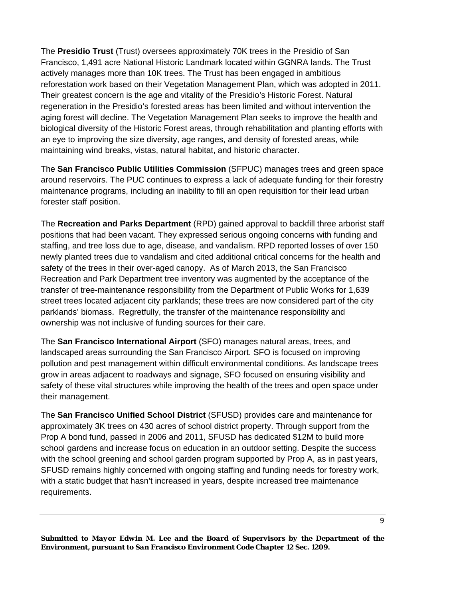The **Presidio Trust** (Trust) oversees approximately 70K trees in the Presidio of San Francisco, 1,491 acre National Historic Landmark located within GGNRA lands. The Trust actively manages more than 10K trees. The Trust has been engaged in ambitious reforestation work based on their Vegetation Management Plan, which was adopted in 2011. Their greatest concern is the age and vitality of the Presidio's Historic Forest. Natural regeneration in the Presidio's forested areas has been limited and without intervention the aging forest will decline. The Vegetation Management Plan seeks to improve the health and biological diversity of the Historic Forest areas, through rehabilitation and planting efforts with an eye to improving the size diversity, age ranges, and density of forested areas, while maintaining wind breaks, vistas, natural habitat, and historic character.

The **San Francisco Public Utilities Commission** (SFPUC) manages trees and green space around reservoirs. The PUC continues to express a lack of adequate funding for their forestry maintenance programs, including an inability to fill an open requisition for their lead urban forester staff position.

The **Recreation and Parks Department** (RPD) gained approval to backfill three arborist staff positions that had been vacant. They expressed serious ongoing concerns with funding and staffing, and tree loss due to age, disease, and vandalism. RPD reported losses of over 150 newly planted trees due to vandalism and cited additional critical concerns for the health and safety of the trees in their over-aged canopy. As of March 2013, the San Francisco Recreation and Park Department tree inventory was augmented by the acceptance of the transfer of tree-maintenance responsibility from the Department of Public Works for 1,639 street trees located adjacent city parklands; these trees are now considered part of the city parklands' biomass. Regretfully, the transfer of the maintenance responsibility and ownership was not inclusive of funding sources for their care.

The **San Francisco International Airport** (SFO) manages natural areas, trees, and landscaped areas surrounding the San Francisco Airport. SFO is focused on improving pollution and pest management within difficult environmental conditions. As landscape trees grow in areas adjacent to roadways and signage, SFO focused on ensuring visibility and safety of these vital structures while improving the health of the trees and open space under their management.

The **San Francisco Unified School District** (SFUSD) provides care and maintenance for approximately 3K trees on 430 acres of school district property. Through support from the Prop A bond fund, passed in 2006 and 2011, SFUSD has dedicated \$12M to build more school gardens and increase focus on education in an outdoor setting. Despite the success with the school greening and school garden program supported by Prop A, as in past years, SFUSD remains highly concerned with ongoing staffing and funding needs for forestry work, with a static budget that hasn't increased in years, despite increased tree maintenance requirements.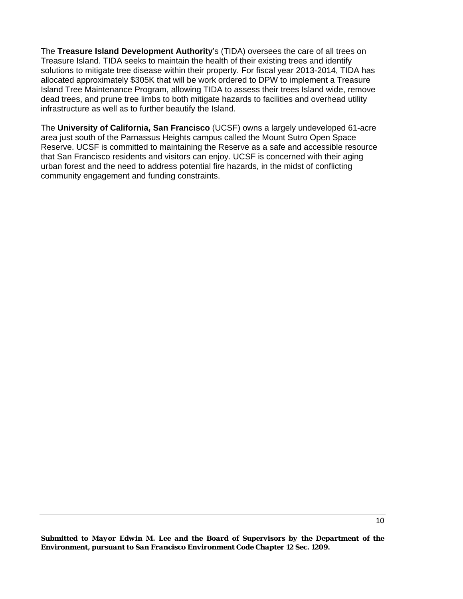The **Treasure Island Development Authority**'s (TIDA) oversees the care of all trees on Treasure Island. TIDA seeks to maintain the health of their existing trees and identify solutions to mitigate tree disease within their property. For fiscal year 2013-2014, TIDA has allocated approximately \$305K that will be work ordered to DPW to implement a Treasure Island Tree Maintenance Program, allowing TIDA to assess their trees Island wide, remove dead trees, and prune tree limbs to both mitigate hazards to facilities and overhead utility infrastructure as well as to further beautify the Island.

The **University of California, San Francisco** (UCSF) owns a largely undeveloped 61-acre area just south of the Parnassus Heights campus called the Mount Sutro Open Space Reserve. UCSF is committed to maintaining the Reserve as a safe and accessible resource that San Francisco residents and visitors can enjoy. UCSF is concerned with their aging urban forest and the need to address potential fire hazards, in the midst of conflicting community engagement and funding constraints.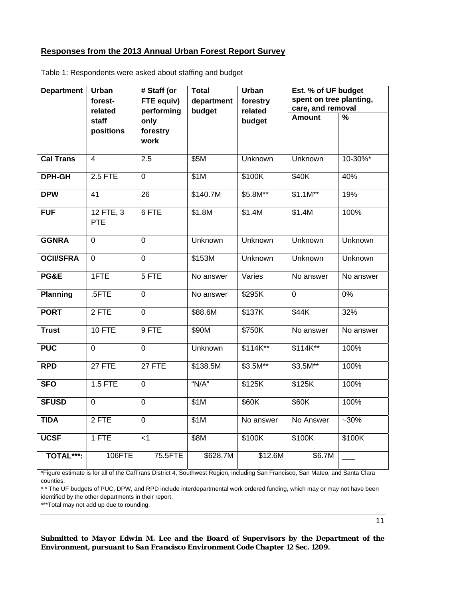#### **Responses from the 2013 Annual Urban Forest Report Survey**

| <b>Department</b> | Urban<br>forest-   | # Staff (or<br>FTE equiv) | <b>Total</b><br>department | Urban<br>forestry | Est. % of UF budget<br>spent on tree planting, |                |
|-------------------|--------------------|---------------------------|----------------------------|-------------------|------------------------------------------------|----------------|
|                   | related            | performing                | budget                     | related           | care, and removal<br><b>Amount</b>             | %              |
|                   | staff<br>positions | only<br>forestry          |                            | budget            |                                                |                |
|                   |                    | work                      |                            |                   |                                                |                |
| <b>Cal Trans</b>  | 4                  | 2.5                       | \$5M                       | <b>Unknown</b>    | <b>Unknown</b>                                 | 10-30%*        |
| <b>DPH-GH</b>     | $2.5$ FTE          | $\overline{0}$            | \$1M                       | \$100K            | \$40K                                          | 40%            |
| <b>DPW</b>        | 41                 | 26                        | \$140.7M                   | $$5.8M**$         | $$1.1M**$                                      | 19%            |
| <b>FUF</b>        | 12 FTE, 3<br>PTE   | 6 FTE                     | \$1.8M                     | \$1.4M            | \$1.4M                                         | 100%           |
| <b>GGNRA</b>      | 0                  | $\Omega$                  | <b>Unknown</b>             | <b>Unknown</b>    | <b>Unknown</b>                                 | <b>Unknown</b> |
| <b>OCII/SFRA</b>  | $\overline{0}$     | $\overline{0}$            | \$153M                     | <b>Unknown</b>    | <b>Unknown</b>                                 | <b>Unknown</b> |
| PG&E              | 1FTE               | 5 FTE                     | No answer                  | Varies            | No answer                                      | No answer      |
| <b>Planning</b>   | $.5$ FTE           | $\overline{0}$            | No answer                  | \$295K            | $\overline{0}$                                 | 0%             |
| <b>PORT</b>       | $2$ FTE            | $\overline{0}$            | \$88.6M                    | \$137K            | \$44K                                          | 32%            |
| <b>Trust</b>      | 10 FTE             | 9 FTE                     | \$90M                      | \$750K            | No answer                                      | No answer      |
| <b>PUC</b>        | $\overline{0}$     | $\overline{0}$            | <b>Unknown</b>             | $$114K**$         | $$114K**$                                      | 100%           |
| <b>RPD</b>        | 27 FTE             | 27 FTE                    | \$138.5M                   | $$3.5M**$         | $$3.5M**$                                      | 100%           |
| <b>SFO</b>        | $1.5$ FTE          | $\overline{0}$            | " $N/A$ "                  | \$125K            | \$125K                                         | 100%           |
| <b>SFUSD</b>      | $\overline{0}$     | $\overline{0}$            | \$1M                       | \$60K             | \$60K                                          | 100%           |
| <b>TIDA</b>       | 2 FTE              | $\boldsymbol{0}$          | \$1M                       | No answer         | No Answer                                      | $-30%$         |
| <b>UCSF</b>       | $1$ FTE            | $\leq$                    | $\overline{\$8M}$          | \$100K            | \$100K                                         | \$100K         |
| TOTAL***:         | 106FTE             | 75.5FTE                   | \$628,7M                   | \$12.6M           | \$6.7M                                         |                |

Table 1: Respondents were asked about staffing and budget

\*Figure estimate is for all of the CalTrans District 4, Southwest Region, including San Francisco, San Mateo, and Santa Clara counties.

\* \* The UF budgets of PUC, DPW, and RPD include interdepartmental work ordered funding, which may or may not have been identified by the other departments in their report.

\*\*\*Total may not add up due to rounding.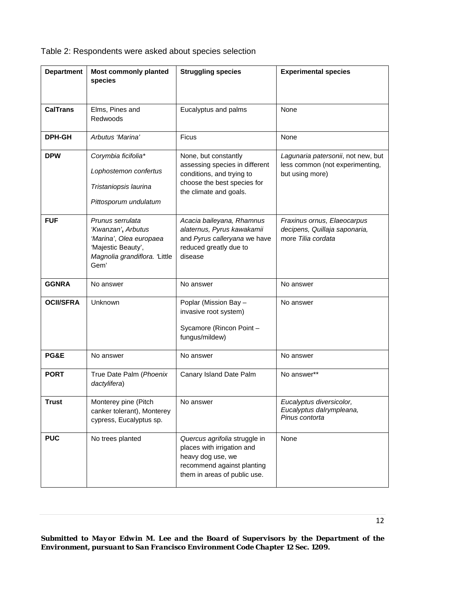| <b>Department</b> | <b>Most commonly planted</b><br>species                                                                                        | <b>Struggling species</b>                                                                                                                      | <b>Experimental species</b>                                                              |
|-------------------|--------------------------------------------------------------------------------------------------------------------------------|------------------------------------------------------------------------------------------------------------------------------------------------|------------------------------------------------------------------------------------------|
| <b>CalTrans</b>   | Elms, Pines and<br>Redwoods                                                                                                    | Eucalyptus and palms                                                                                                                           | None                                                                                     |
| <b>DPH-GH</b>     | Arbutus 'Marina'                                                                                                               | Ficus                                                                                                                                          | None                                                                                     |
| <b>DPW</b>        | Corymbia ficifolia*<br>Lophostemon confertus<br>Tristaniopsis laurina<br>Pittosporum undulatum                                 | None, but constantly<br>assessing species in different<br>conditions, and trying to<br>choose the best species for<br>the climate and goals.   | Lagunaria patersonii, not new, but<br>less common (not experimenting,<br>but using more) |
| <b>FUF</b>        | Prunus serrulata<br>'Kwanzan', Arbutus<br>'Marina', Olea europaea<br>Majestic Beauty',<br>Magnolia grandiflora. Little<br>Gem' | Acacia baileyana, Rhamnus<br>alaternus, Pyrus kawakamii<br>and Pyrus calleryana we have<br>reduced greatly due to<br>disease                   | Fraxinus ornus, Elaeocarpus<br>decipens, Quillaja saponaria,<br>more Tilia cordata       |
| <b>GGNRA</b>      | No answer                                                                                                                      | No answer                                                                                                                                      | No answer                                                                                |
| <b>OCII/SFRA</b>  | Unknown                                                                                                                        | Poplar (Mission Bay -<br>invasive root system)<br>Sycamore (Rincon Point -<br>fungus/mildew)                                                   | No answer                                                                                |
| PG&E              | No answer                                                                                                                      | No answer                                                                                                                                      | No answer                                                                                |
| <b>PORT</b>       | True Date Palm (Phoenix<br>dactylifera)                                                                                        | Canary Island Date Palm                                                                                                                        | No answer**                                                                              |
| Trust             | Monterey pine (Pitch<br>canker tolerant), Monterey<br>cypress, Eucalyptus sp.                                                  | No answer                                                                                                                                      | Eucalyptus diversicolor,<br>Eucalyptus dalrympleana,<br>Pinus contorta                   |
| <b>PUC</b>        | No trees planted                                                                                                               | Quercus agrifolia struggle in<br>places with irrigation and<br>heavy dog use, we<br>recommend against planting<br>them in areas of public use. | None                                                                                     |

## Table 2: Respondents were asked about species selection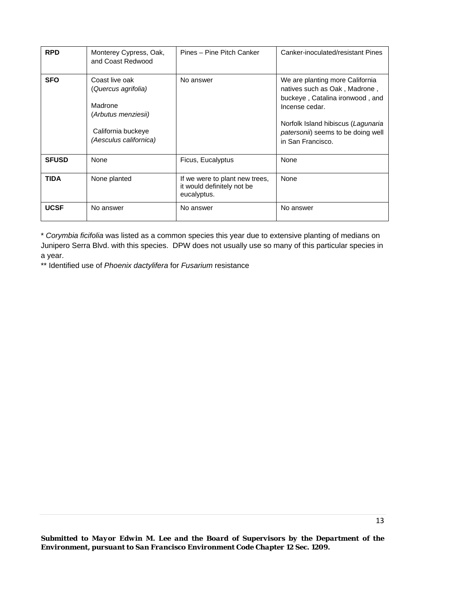| <b>RPD</b>   | Monterey Cypress, Oak,<br>and Coast Redwood                                                                             | Pines - Pine Pitch Canker                                                   | Canker-inoculated/resistant Pines                                                                                                                                                                                      |
|--------------|-------------------------------------------------------------------------------------------------------------------------|-----------------------------------------------------------------------------|------------------------------------------------------------------------------------------------------------------------------------------------------------------------------------------------------------------------|
| <b>SFO</b>   | Coast live oak<br>(Quercus agrifolia)<br>Madrone<br>(Arbutus menziesii)<br>California buckeye<br>(Aesculus californica) | No answer                                                                   | We are planting more California<br>natives such as Oak, Madrone,<br>buckeye, Catalina ironwood, and<br>Incense cedar.<br>Norfolk Island hibiscus (Lagunaria<br>patersonii) seems to be doing well<br>in San Francisco. |
| <b>SFUSD</b> | None                                                                                                                    | Ficus, Eucalyptus                                                           | None                                                                                                                                                                                                                   |
| <b>TIDA</b>  | None planted                                                                                                            | If we were to plant new trees,<br>it would definitely not be<br>eucalyptus. | None                                                                                                                                                                                                                   |
| <b>UCSF</b>  | No answer                                                                                                               | No answer                                                                   | No answer                                                                                                                                                                                                              |

\* *Corymbia ficifolia* was listed as a common species this year due to extensive planting of medians on Junipero Serra Blvd. with this species. DPW does not usually use so many of this particular species in a year.

\*\* Identified use of *Phoenix dactylifera* for *Fusarium* resistance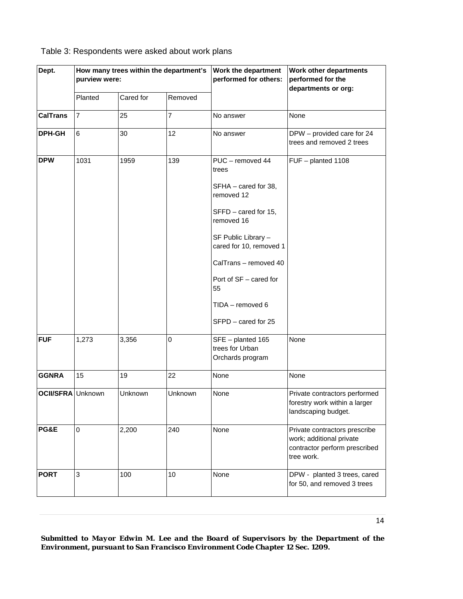| Dept.                    | purview were:  |           | How many trees within the department's | Work the department<br>performed for others:             | Work other departments<br>performed for the<br>departments or org:                                       |
|--------------------------|----------------|-----------|----------------------------------------|----------------------------------------------------------|----------------------------------------------------------------------------------------------------------|
|                          | Planted        | Cared for | Removed                                |                                                          |                                                                                                          |
| <b>CalTrans</b>          | $\overline{7}$ | 25        | $\overline{7}$                         | No answer                                                | None                                                                                                     |
| <b>DPH-GH</b>            | 6              | 30        | 12                                     | No answer                                                | DPW - provided care for 24<br>trees and removed 2 trees                                                  |
| <b>DPW</b>               | 1031           | 1959      | 139                                    | PUC - removed 44<br>trees<br>SFHA - cared for 38,        | FUF - planted 1108                                                                                       |
|                          |                |           |                                        | removed 12<br>SFFD - cared for 15,<br>removed 16         |                                                                                                          |
|                          |                |           |                                        | SF Public Library -<br>cared for 10, removed 1           |                                                                                                          |
|                          |                |           |                                        | CalTrans - removed 40                                    |                                                                                                          |
|                          |                |           |                                        | Port of SF - cared for<br>55                             |                                                                                                          |
|                          |                |           |                                        | TIDA - removed 6                                         |                                                                                                          |
|                          |                |           |                                        | SFPD - cared for 25                                      |                                                                                                          |
| <b>FUF</b>               | 1,273          | 3,356     | $\mathbf 0$                            | SFE - planted 165<br>trees for Urban<br>Orchards program | None                                                                                                     |
| <b>GGNRA</b>             | 15             | 19        | 22                                     | None                                                     | None                                                                                                     |
| <b>OCII/SFRA Unknown</b> |                | Unknown   | Unknown                                | None                                                     | Private contractors performed<br>forestry work within a larger<br>landscaping budget.                    |
| PG&E                     | $\mathbf 0$    | 2,200     | 240                                    | None                                                     | Private contractors prescribe<br>work; additional private<br>contractor perform prescribed<br>tree work. |
| <b>PORT</b>              | 3              | 100       | 10                                     | None                                                     | DPW - planted 3 trees, cared<br>for 50, and removed 3 trees                                              |

## Table 3: Respondents were asked about work plans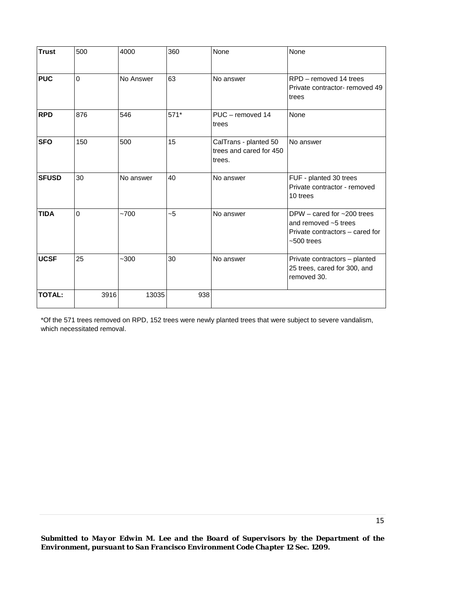| <b>Trust</b>  | 500         | 4000      | 360    | None                                                       | None                                                                                                              |
|---------------|-------------|-----------|--------|------------------------------------------------------------|-------------------------------------------------------------------------------------------------------------------|
| <b>PUC</b>    | $\mathbf 0$ | No Answer | 63     | No answer                                                  | RPD - removed 14 trees<br>Private contractor- removed 49<br>trees                                                 |
| <b>RPD</b>    | 876         | 546       | $571*$ | PUC - removed 14<br>trees                                  | None                                                                                                              |
| <b>SFO</b>    | 150         | 500       | 15     | CalTrans - planted 50<br>trees and cared for 450<br>trees. | No answer                                                                                                         |
| <b>SFUSD</b>  | 30          | No answer | 40     | No answer                                                  | FUF - planted 30 trees<br>Private contractor - removed<br>10 trees                                                |
| <b>TIDA</b>   | $\mathbf 0$ | $-700$    | ~1     | No answer                                                  | DPW – cared for $\sim$ 200 trees<br>and removed $\sim$ 5 trees<br>Private contractors – cared for<br>$~500$ trees |
| <b>UCSF</b>   | 25          | $-300$    | 30     | No answer                                                  | Private contractors - planted<br>25 trees, cared for 300, and<br>removed 30.                                      |
| <b>TOTAL:</b> | 3916        | 13035     | 938    |                                                            |                                                                                                                   |

\*Of the 571 trees removed on RPD, 152 trees were newly planted trees that were subject to severe vandalism, which necessitated removal.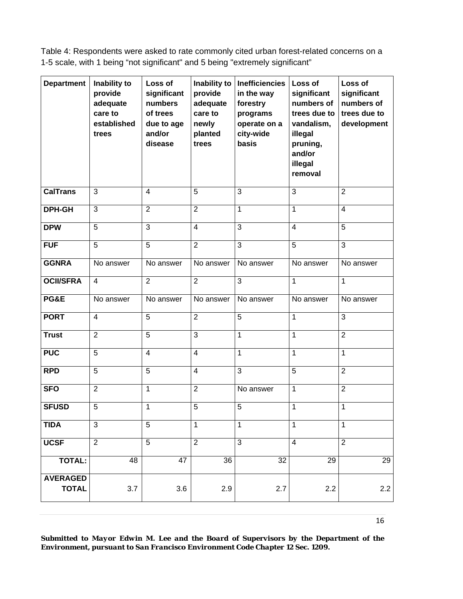Table 4: Respondents were asked to rate commonly cited urban forest-related concerns on a 1-5 scale, with 1 being "not significant" and 5 being "extremely significant"

| <b>Department</b>               | Inability to<br>provide<br>adequate<br>care to<br>established<br>trees | Loss of<br>significant<br>numbers<br>of trees<br>due to age<br>and/or<br>disease | Inability to<br>provide<br>adequate<br>care to<br>newly<br>planted<br>trees | <b>Inefficiencies</b><br>in the way<br>forestry<br>programs<br>operate on a<br>city-wide<br>basis | Loss of<br>significant<br>numbers of<br>trees due to<br>vandalism,<br>illegal<br>pruning,<br>and/or<br>illegal<br>removal | Loss of<br>significant<br>numbers of<br>trees due to<br>development |
|---------------------------------|------------------------------------------------------------------------|----------------------------------------------------------------------------------|-----------------------------------------------------------------------------|---------------------------------------------------------------------------------------------------|---------------------------------------------------------------------------------------------------------------------------|---------------------------------------------------------------------|
| <b>CalTrans</b>                 | $\overline{3}$                                                         | $\overline{4}$                                                                   | 5                                                                           | 3                                                                                                 | 3                                                                                                                         | $\overline{2}$                                                      |
| <b>DPH-GH</b>                   | $\overline{3}$                                                         | $\overline{2}$                                                                   | $\overline{2}$                                                              | 1                                                                                                 | $\mathbf{1}$                                                                                                              | $\overline{\mathbf{4}}$                                             |
| <b>DPW</b>                      | 5                                                                      | 3                                                                                | $\overline{\mathbf{4}}$                                                     | 3                                                                                                 | $\overline{\mathbf{4}}$                                                                                                   | 5                                                                   |
| <b>FUF</b>                      | 5                                                                      | $\overline{5}$                                                                   | $\overline{2}$                                                              | $\overline{3}$                                                                                    | 5                                                                                                                         | $\overline{3}$                                                      |
| <b>GGNRA</b>                    | No answer                                                              | No answer                                                                        | No answer                                                                   | No answer                                                                                         | No answer                                                                                                                 | No answer                                                           |
| <b>OCII/SFRA</b>                | $\overline{4}$                                                         | $\overline{2}$                                                                   | $\overline{2}$                                                              | 3                                                                                                 | 1                                                                                                                         | 1                                                                   |
| PG&E                            | No answer                                                              | No answer                                                                        | No answer                                                                   | No answer                                                                                         | No answer                                                                                                                 | No answer                                                           |
| <b>PORT</b>                     | $\overline{4}$                                                         | $\overline{5}$                                                                   | $\overline{2}$                                                              | $\overline{5}$                                                                                    | $\mathbf{1}$                                                                                                              | 3                                                                   |
| <b>Trust</b>                    | $\overline{2}$                                                         | $\overline{5}$                                                                   | 3                                                                           | 1                                                                                                 | 1                                                                                                                         | $\overline{2}$                                                      |
| <b>PUC</b>                      | $\overline{5}$                                                         | $\overline{4}$                                                                   | $\overline{\mathbf{4}}$                                                     | 1                                                                                                 | 1                                                                                                                         | $\overline{1}$                                                      |
| <b>RPD</b>                      | $\overline{5}$                                                         | $\overline{5}$                                                                   | $\overline{4}$                                                              | $\overline{3}$                                                                                    | $\overline{5}$                                                                                                            | $\overline{2}$                                                      |
| <b>SFO</b>                      | $\overline{2}$                                                         | 1                                                                                | $\overline{2}$                                                              | No answer                                                                                         | $\mathbf 1$                                                                                                               | $\overline{2}$                                                      |
| <b>SFUSD</b>                    | $\overline{5}$                                                         | $\mathbf{1}$                                                                     | $\overline{5}$                                                              | $\overline{5}$                                                                                    | $\mathbf 1$                                                                                                               | 1                                                                   |
| <b>TIDA</b>                     | 3                                                                      | 5                                                                                | 1                                                                           | 1                                                                                                 | 1                                                                                                                         | 1                                                                   |
| <b>UCSF</b>                     | $\overline{2}$                                                         | $\overline{5}$                                                                   | $\overline{2}$                                                              | 3                                                                                                 | $\overline{\mathbf{4}}$                                                                                                   | $\overline{2}$                                                      |
| <b>TOTAL:</b>                   | 48                                                                     | $\overline{47}$                                                                  | $\overline{36}$                                                             | $\overline{32}$                                                                                   | $\overline{29}$                                                                                                           | $\overline{29}$                                                     |
| <b>AVERAGED</b><br><b>TOTAL</b> | 3.7                                                                    | 3.6                                                                              | 2.9                                                                         | 2.7                                                                                               | 2.2                                                                                                                       | 2.2                                                                 |

*Submitted to Mayor Edwin M. Lee and the Board of Supervisors by the Department of the Environment, pursuant to San Francisco Environment Code Chapter 12 Sec. 1209.* 

16